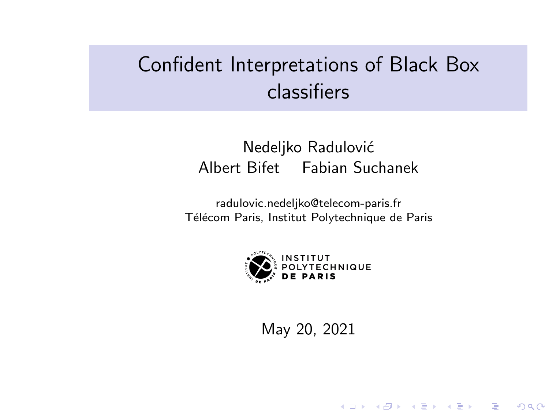# Confident Interpretations of Black Box classifiers

### Nedeljko Radulović Albert Bifet Fabian Suchanek

radulovic.nedeljko@telecom-paris.fr Télécom Paris, Institut Polytechnique de Paris



May 20, 2021

K ロ K K 御 K K W B K W B K W B B

 $2Q$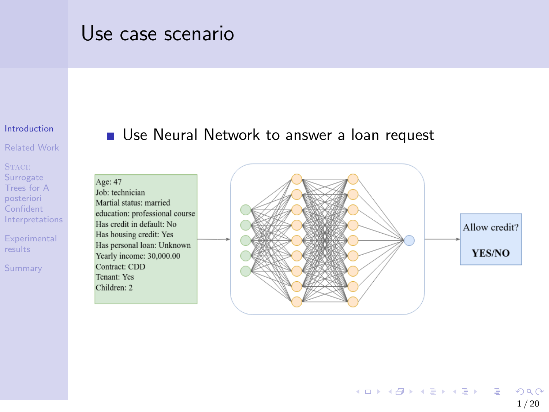## <span id="page-1-0"></span>Use case scenario

#### [Introduction](#page-1-0)

[Related Work](#page-4-0)

STACI: Surrogate Trees for A posteriori Confident [Interpretations](#page-6-0)

**[Experimental](#page-12-0)** results

[Summary](#page-18-0)

#### Use Neural Network to answer a loan request

Age: 47 Job: technician Martial status: married education: professional course Has credit in default: No Has housing credit: Yes Has personal loan: Unknown Yearly income: 30,000.00 Contract: CDD Tenant: Yes Children: 2

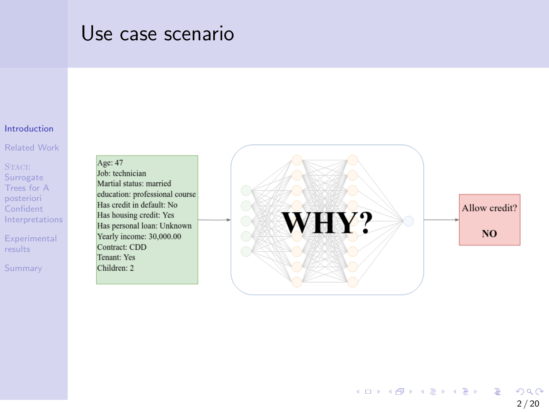## Use case scenario

#### **[Introduction](#page-1-0)**

[Related Work](#page-4-0)

STACI: Surrogate Trees for A posteriori Confident [Interpretations](#page-6-0)

**[Experimental](#page-12-0)** results

[Summary](#page-18-0)

Age: 47 Job: technician Martial status: married education: professional course Has credit in default: No Has housing credit: Yes Has personal loan: Unknown Yearly income: 30,000.00 Contract: CDD Tenant: Yes Children: 2

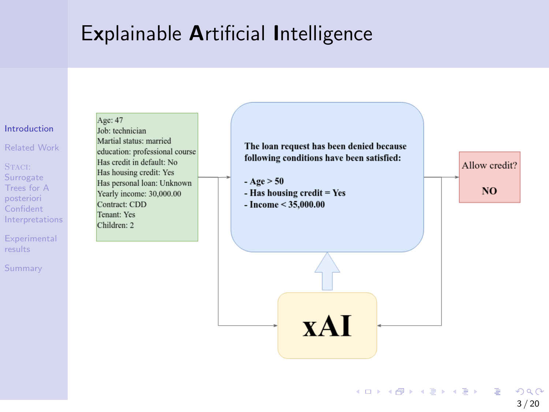## Explainable Artificial Intelligence



イロト イ団 トイミト イミト 目  $QQ$  $3/20$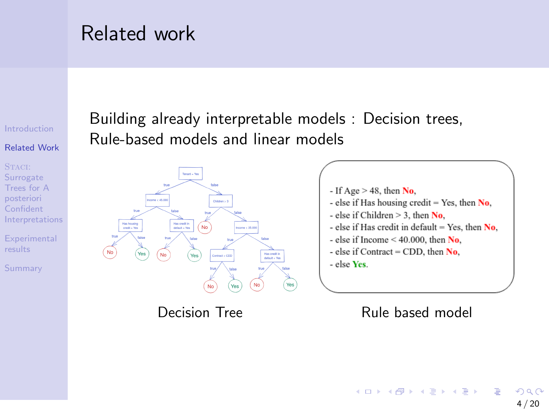## <span id="page-4-0"></span>Related work

#### [Introduction](#page-1-0)

#### [Related Work](#page-4-0)

STACI: Surrogate Trees for A posteriori Confident [Interpretations](#page-6-0)

**[Experimental](#page-12-0)** results

[Summary](#page-18-0)

### Building already interpretable models : Decision trees, Rule-based models and linear models





#### Decision Tree Rule based model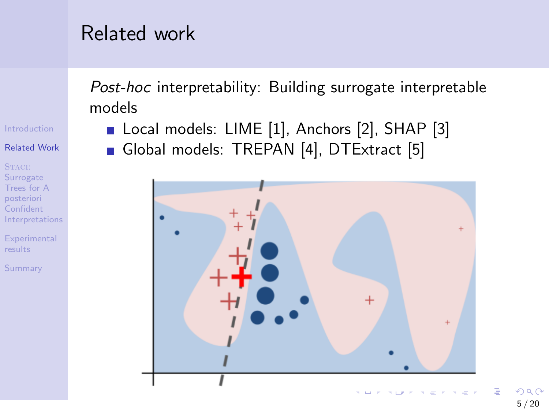## Related work

Post-hoc interpretability: Building surrogate interpretable models

Local models: LIME [\[1\]](#page-19-0), Anchors [\[2\]](#page-19-1), SHAP [\[3\]](#page-19-2) Global models: TREPAN [\[4\]](#page-19-3), DTExtract [\[5\]](#page-20-0)



[Introduction](#page-1-0)

#### [Related Work](#page-4-0)

STACI: Surrogate Trees for A posteriori Confident [Interpretations](#page-6-0)

**[Experimental](#page-12-0)** results

[Summary](#page-18-0)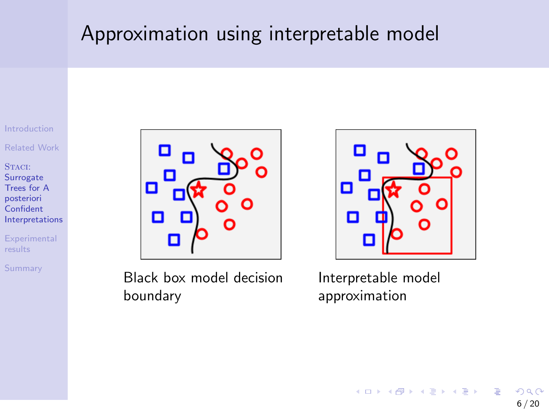## <span id="page-6-0"></span>Approximation using interpretable model

[Introduction](#page-1-0)

[Related Work](#page-4-0)

STACI: **Surrogate** Trees for A posteriori Confident [Interpretations](#page-6-0)

**[Experimental](#page-12-0)** results

[Summary](#page-18-0)



Black box model decision boundary



Interpretable model approximation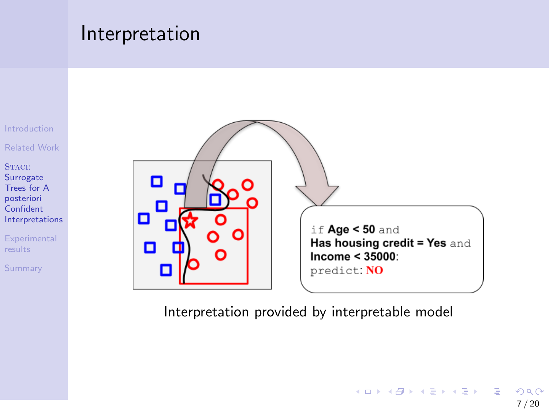### Interpretation



[Related Work](#page-4-0)

STACI: **Surrogate** Trees for A posteriori Confident [Interpretations](#page-6-0)

**[Experimental](#page-12-0)** results

[Summary](#page-18-0)



Interpretation provided by interpretable model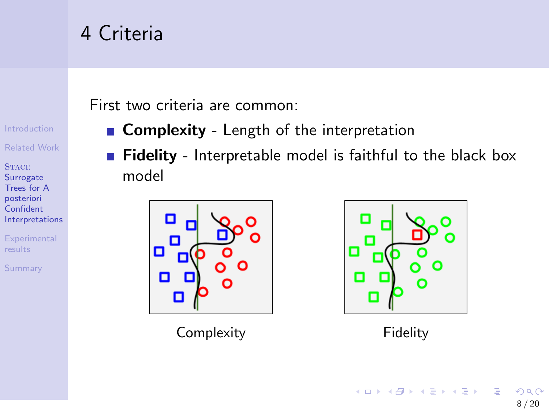# 4 Criteria

First two criteria are common:

- **Complexity** Length of the interpretation
	- Fidelity Interpretable model is faithful to the black box model



Complexity **Fidelity** 



[Introduction](#page-1-0) [Related Work](#page-4-0)

STACI: **Surrogate** Trees for A posteriori Confident [Interpretations](#page-6-0)

**[Experimental](#page-12-0)** results

[Summary](#page-18-0)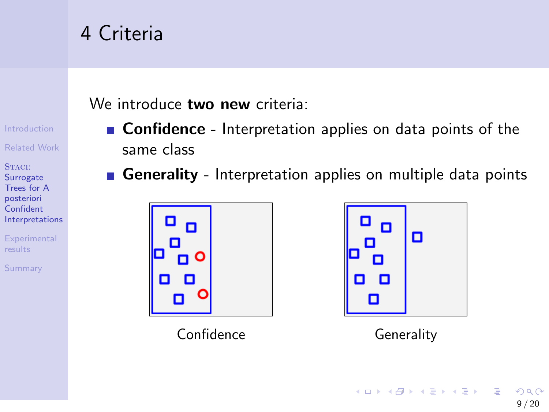# 4 Criteria

We introduce **two new** criteria:

- **Confidence** Interpretation applies on data points of the same class
- Generality Interpretation applies on multiple data points



Confidence Generality



[Introduction](#page-1-0) [Related Work](#page-4-0)

STACI: **Surrogate** Trees for A posteriori Confident [Interpretations](#page-6-0)

**[Experimental](#page-12-0)** results

[Summary](#page-18-0)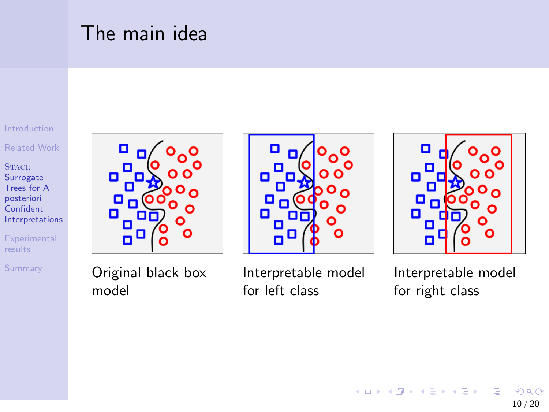# The main idea

[Introduction](#page-1-0)

[Related Work](#page-4-0)

STACI: **Surrogate** Trees for A posteriori **Confident** [Interpretations](#page-6-0)

**[Experimental](#page-12-0)** results

[Summary](#page-18-0)



Original black box model







Interpretable model for right class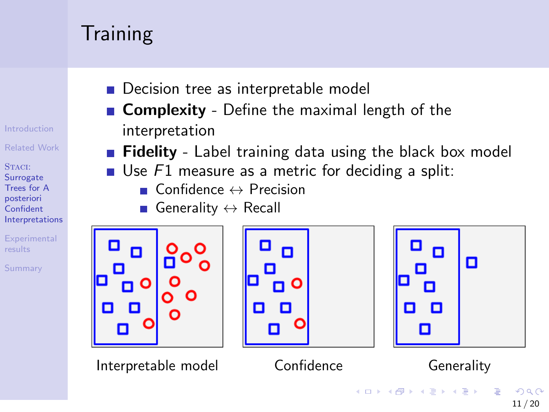# **Training**

[Introduction](#page-1-0)

[Related Work](#page-4-0)

STACI: **Surrogate** Trees for A posteriori Confident [Interpretations](#page-6-0)

**[Experimental](#page-12-0)** results

[Summary](#page-18-0)

- Decision tree as interpretable model
- **Complexity** Define the maximal length of the interpretation
- **Fidelity** Label training data using the black box model
- Use  $F1$  measure as a metric for deciding a split:
	- $\blacksquare$  Confidence  $\leftrightarrow$  Precision
	- Generality  $\leftrightarrow$  Recall



11 / 20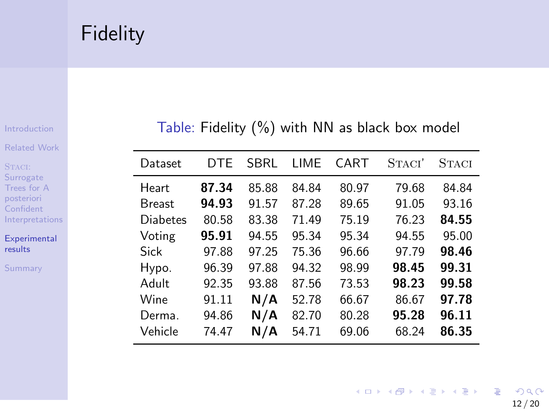# <span id="page-12-0"></span>Fidelity

[Introduction](#page-1-0)

[Related Work](#page-4-0)

STACI: Surrogate Trees for A posteriori Confident [Interpretations](#page-6-0)

[Experimental](#page-12-0) results

[Summary](#page-18-0)

#### Table: Fidelity (%) with NN as black box model

| Dataset         | DTF   | SBRL  | I IMF | CART  | STACI' | <b>STACI</b> |
|-----------------|-------|-------|-------|-------|--------|--------------|
| <b>Heart</b>    | 87.34 | 85.88 | 84.84 | 80.97 | 79.68  | 84.84        |
| <b>Breast</b>   | 94.93 | 91.57 | 87.28 | 89.65 | 91.05  | 93.16        |
| <b>Diabetes</b> | 80.58 | 83.38 | 71.49 | 75.19 | 76.23  | 84.55        |
| Voting          | 95.91 | 94.55 | 95.34 | 95.34 | 94.55  | 95.00        |
| Sick            | 97.88 | 97.25 | 75.36 | 96.66 | 97.79  | 98.46        |
| Hypo.           | 96.39 | 97.88 | 94.32 | 98.99 | 98.45  | 99.31        |
| Adult           | 92.35 | 93.88 | 87.56 | 73.53 | 98.23  | 99.58        |
| Wine            | 91.11 | N/A   | 52.78 | 66.67 | 86.67  | 97.78        |
| Derma.          | 94.86 | N/A   | 82.70 | 80.28 | 95.28  | 96.11        |
| Vehicle         | 74.47 | N/A   | 54.71 | 69.06 | 68.24  | 86.35        |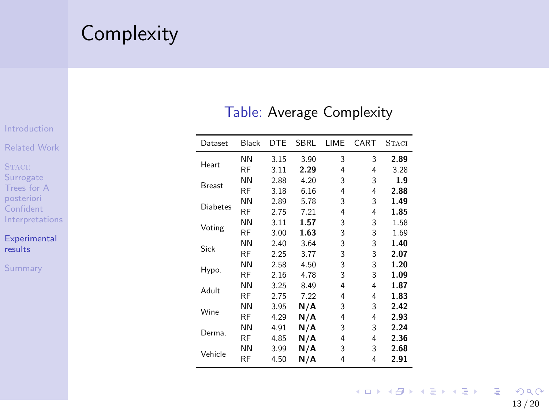## **Complexity**

#### [Introduction](#page-1-0)

[Related Work](#page-4-0)

STACI: Surrogate Trees for A posteriori Confident [Interpretations](#page-6-0)

#### [Experimental](#page-12-0) results

[Summary](#page-18-0)

#### Table: Average Complexity

| Dataset         | Black     | <b>DTE</b> | <b>SBRL</b> | LIME | CART | <b>STACI</b> |
|-----------------|-----------|------------|-------------|------|------|--------------|
| Heart           | <b>NN</b> | 3.15       | 3.90        | 3    | 3    | 2.89         |
|                 | <b>RF</b> | 3.11       | 2.29        | 4    | 4    | 3.28         |
| Breast          | <b>NN</b> | 2.88       | 4.20        | 3    | 3    | 1.9          |
|                 | <b>RF</b> | 3.18       | 6.16        | 4    | 4    | 2.88         |
| <b>Diabetes</b> | <b>NN</b> | 2.89       | 5.78        | 3    | 3    | 1.49         |
|                 | <b>RF</b> | 2.75       | 7.21        | 4    | 4    | 1.85         |
| Voting          | <b>NN</b> | 3.11       | 1.57        | 3    | 3    | 1.58         |
|                 | <b>RF</b> | 3.00       | 1.63        | 3    | 3    | 1.69         |
| Sick            | <b>NN</b> | 2.40       | 3.64        | 3    | 3    | 1.40         |
|                 | <b>RF</b> | 2.25       | 3.77        | 3    | 3    | 2.07         |
|                 | <b>NN</b> | 2.58       | 4.50        | 3    | 3    | 1.20         |
| Hypo.           | <b>RF</b> | 2.16       | 4.78        | 3    | 3    | 1.09         |
| Adult           | <b>NN</b> | 3.25       | 8.49        | 4    | 4    | 1.87         |
|                 | <b>RF</b> | 2.75       | 7.22        | 4    | 4    | 1.83         |
|                 | <b>NN</b> | 3.95       | N/A         | 3    | 3    | 2.42         |
| Wine            | <b>RF</b> | 4.29       | N/A         | 4    | 4    | 2.93         |
| Derma.          | <b>NN</b> | 4.91       | N/A         | 3    | 3    | 2.24         |
|                 | <b>RF</b> | 4.85       | N/A         | 4    | 4    | 2.36         |
|                 | <b>NN</b> | 3.99       | N/A         | 3    | 3    | 2.68         |
| Vehicle         | <b>RF</b> | 4.50       | N/A         | 4    | 4    | 2.91         |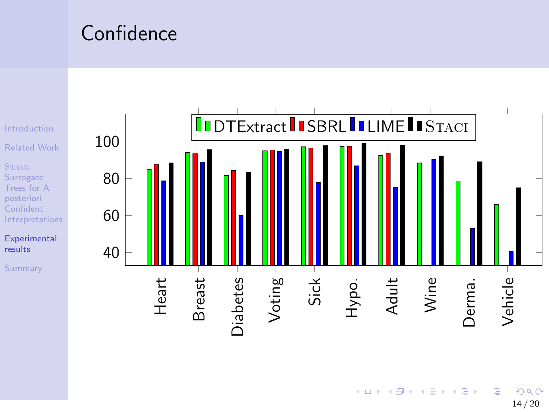## Confidence



э  $2990$ 14 / 20

メロトメ 伊 トメ ミトメ ミト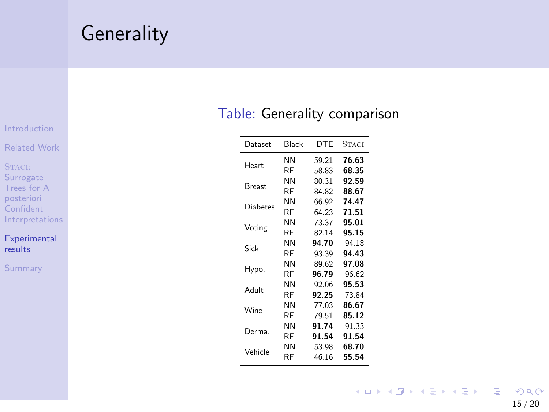## **Generality**

[Introduction](#page-1-0)

[Related Work](#page-4-0)

STACI: Surrogate Trees for A posteriori Confident **[Interpretations](#page-6-0)** 

[Experimental](#page-12-0) results

[Summary](#page-18-0)

### Table: Generality comparison

| Dataset  | Black | <b>DTF</b> | STACI |
|----------|-------|------------|-------|
| Heart    | NN    | 59.21      | 76.63 |
|          | RF    | 58.83      | 68.35 |
| Breast   | NN    | 80.31      | 92.59 |
|          | RF    | 84.82      | 88.67 |
| Diabetes | NN    | 66.92      | 74.47 |
|          | RF    | 64.23      | 71.51 |
| Voting   | NN    | 73.37      | 95.01 |
|          | RF    | 82.14      | 95.15 |
| Sick     | NN    | 94.70      | 94.18 |
|          | RF    | 93.39      | 94.43 |
| Hypo.    | NN    | 89.62      | 97.08 |
|          | RF    | 96.79      | 96.62 |
| Adult    | NN    | 92.06      | 95.53 |
|          | RF    | 92.25      | 73.84 |
| Wine     | NN    | 77.03      | 86.67 |
|          | RF    | 79.51      | 85.12 |
| Derma.   | NN    | 91.74      | 91.33 |
|          | RF    | 91.54      | 91.54 |
| Vehicle  | NN    | 53.98      | 68.70 |
|          | RF    | 46.16      | 55.54 |

イロト イ団 トイミト イミト  $E = \Omega Q$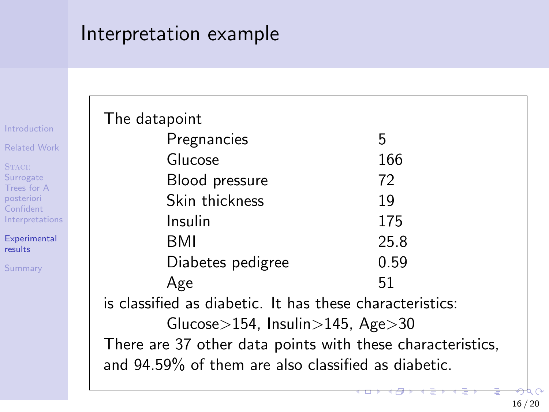## Interpretation example

[Introduction](#page-1-0)

[Related Work](#page-4-0)

STACI: Surrogate Trees for A posteriori Confident [Interpretations](#page-6-0)

[Experimental](#page-12-0) results

[Summary](#page-18-0)

| The datapoint                                              |      |  |  |  |  |  |  |
|------------------------------------------------------------|------|--|--|--|--|--|--|
| Pregnancies                                                | 5    |  |  |  |  |  |  |
| Glucose                                                    | 166  |  |  |  |  |  |  |
| Blood pressure                                             | 72   |  |  |  |  |  |  |
| Skin thickness                                             | 19   |  |  |  |  |  |  |
| Insulin                                                    | 175  |  |  |  |  |  |  |
| BMI                                                        | 25.8 |  |  |  |  |  |  |
| Diabetes pedigree                                          | 0.59 |  |  |  |  |  |  |
| Age                                                        | 51   |  |  |  |  |  |  |
| is classified as diabetic. It has these characteristics:   |      |  |  |  |  |  |  |
| Glucose $>$ 154, Insulin $>$ 145, Age $>$ 30               |      |  |  |  |  |  |  |
| There are 37 other data points with these characteristics, |      |  |  |  |  |  |  |
| and 94.59% of them are also classified as diabetic.        |      |  |  |  |  |  |  |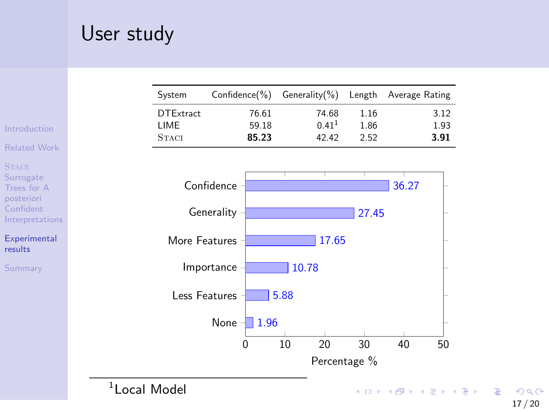# User study

|                                                  |                          | System                                   | Confidence(%) |                         | Generality $(\% )$ |                                     | Length               | Average Rating  |                      |
|--------------------------------------------------|--------------------------|------------------------------------------|---------------|-------------------------|--------------------|-------------------------------------|----------------------|-----------------|----------------------|
| Introduction                                     |                          | <b>DTExtract</b><br>LIME<br><b>STACI</b> |               | 76.61<br>59.18<br>85.23 |                    | 74.68<br>0.41 <sup>1</sup><br>42.42 | 1.16<br>1.86<br>2.52 |                 | 3.12<br>1.93<br>3.91 |
| <b>Related Work</b>                              |                          |                                          |               |                         |                    |                                     |                      |                 |                      |
| STACI:<br>Surrogate<br>Trees for A<br>posteriori |                          |                                          | Confidence    |                         |                    |                                     |                      | 36.27           |                      |
| Confident<br>Interpretations                     |                          |                                          | Generality    |                         |                    |                                     | 27.45                |                 |                      |
| <b>Experimental</b><br>results                   |                          | More Features                            |               |                         |                    | 17.65                               |                      |                 |                      |
| Summary                                          |                          |                                          | Importance    |                         | 10.78              |                                     |                      |                 |                      |
|                                                  |                          | Less Features                            |               |                         | 5.88               |                                     |                      |                 |                      |
|                                                  |                          |                                          | None -        | 1.96                    |                    |                                     |                      |                 |                      |
|                                                  |                          |                                          | 0             |                         | 10                 | 20                                  | 30                   | 40              | 50                   |
|                                                  |                          |                                          |               |                         |                    | Percentage %                        |                      |                 |                      |
|                                                  | <sup>1</sup> Local Model |                                          |               |                         |                    |                                     |                      | イロト イ押ト イヨト イヨト |                      |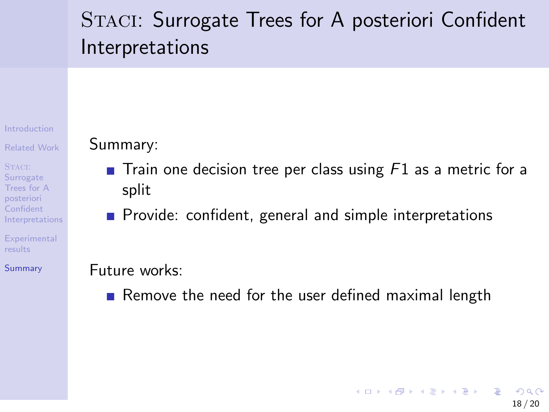# <span id="page-18-0"></span>STACI: Surrogate Trees for A posteriori Confident Interpretations

[Introduction](#page-1-0)

[Related Work](#page-4-0)

STACI: **Surrogate** Trees for A posteriori Confident [Interpretations](#page-6-0)

**[Experimental](#page-12-0)** results

[Summary](#page-18-0)

### Summary:

- $\blacksquare$  Train one decision tree per class using F1 as a metric for a split
- **Provide: confident, general and simple interpretations**

### Future works:

Remove the need for the user defined maximal length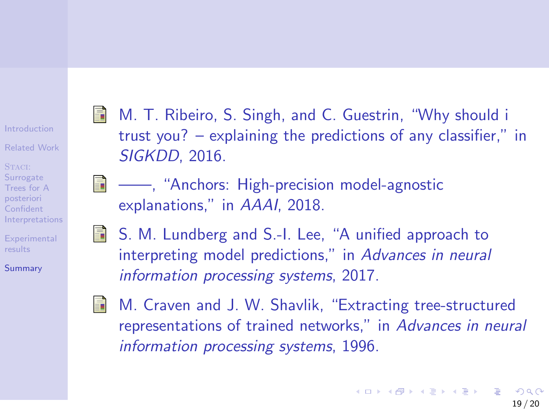#### [Introduction](#page-1-0)

[Related Work](#page-4-0)

STACI: **Surrogate** Trees for A posteriori Confident [Interpretations](#page-6-0)

**[Experimental](#page-12-0)** results

[Summary](#page-18-0)

- <span id="page-19-0"></span>M. T. Ribeiro, S. Singh, and C. Guestrin, "Why should i trust you? – explaining the predictions of any classifier," in SIGKDD, 2016.
- <span id="page-19-2"></span><span id="page-19-1"></span>**E** ——, "Anchors: High-precision model-agnostic explanations," in AAAI, 2018.
	- S. M. Lundberg and S.-I. Lee, "A unified approach to interpreting model predictions," in Advances in neural information processing systems, 2017.

<span id="page-19-3"></span>

M. Craven and J. W. Shavlik, "Extracting tree-structured representations of trained networks," in Advances in neural information processing systems, 1996.